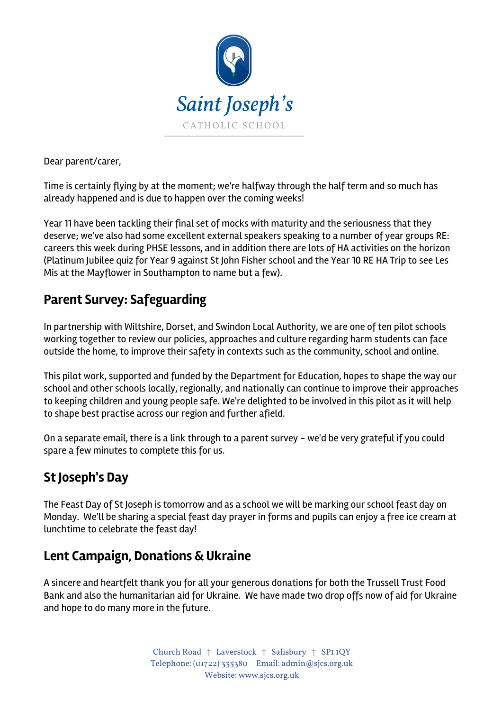

Dear parent/carer,

Time is certainly flying by at the moment; we're halfway through the half term and so much has already happened and is due to happen over the coming weeks!

Year 11 have been tackling their final set of mocks with maturity and the seriousness that they deserve; we've also had some excellent external speakers speaking to a number of year groups RE: careers this week during PHSE lessons, and in addition there are lots of HA activities on the horizon (Platinum Jubilee quiz for Year 9 against St John Fisher school and the Year 10 RE HA Trip to see Les Mis at the Mayflower in Southampton to name but a few).

# **Parent Survey: Safeguarding**

In partnership with Wiltshire, Dorset, and Swindon Local Authority, we are one of ten pilot schools working together to review our policies, approaches and culture regarding harm students can face outside the home, to improve their safety in contexts such as the community, school and online.

This pilot work, supported and funded by the Department for Education, hopes to shape the way our school and other schools locally, regionally, and nationally can continue to improve their approaches to keeping children and young people safe. We're delighted to be involved in this pilot as it will help to shape best practise across our region and further afield.

On a separate email, there is a link through to a parent survey - we'd be very grateful if you could spare a few minutes to complete this for us.

# **St Joseph's Day**

The Feast Day of St Joseph is tomorrow and as a school we will be marking our school feast day on Monday. We'll be sharing a special feast day prayer in forms and pupils can enjoy a free ice cream at lunchtime to celebrate the feast day!

## **Lent Campaign, Donations & Ukraine**

A sincere and heartfelt thank you for all your generous donations for both the Trussell Trust Food Bank and also the humanitarian aid for Ukraine. We have made two drop offs now of aid for Ukraine and hope to do many more in the future.

> Church Road † Laverstock † Salisbury † SP1 1QY Telephone: (01722) 335380 Email: admin@sjcs.org.uk Website: www.sjcs.org.uk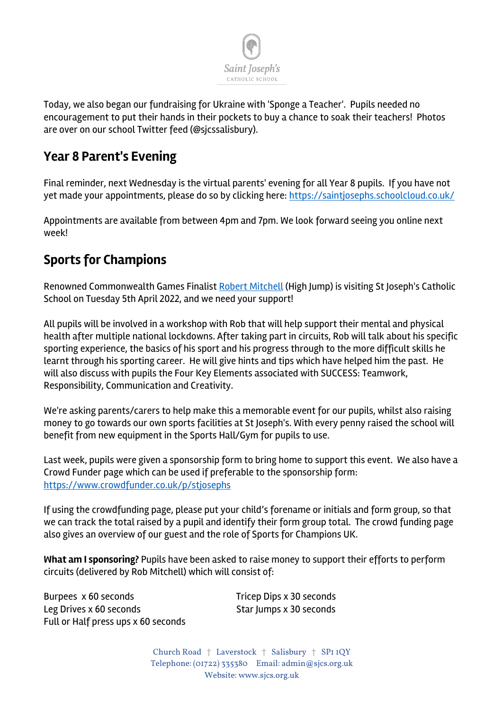

Today, we also began our fundraising for Ukraine with 'Sponge a Teacher'. Pupils needed no encouragement to put their hands in their pockets to buy a chance to soak their teachers! Photos are over on our school Twitter feed (@sjcssalisbury).

## **Year 8 Parent's Evening**

Final reminder, next Wednesday is the virtual parents' evening for all Year 8 pupils. If you have not yet made your appointments, please do so by clicking here: https://saintjosephs.schoolcloud.co.uk/

Appointments are available from between 4pm and 7pm. We look forward seeing you online next week!

## **Sports for Champions**

Renowned Commonwealth Games Finalist Robert Mitchell (High Jump) is visiting St Joseph's Catholic School on Tuesday 5th April 2022, and we need your support!

All pupils will be involved in a workshop with Rob that will help support their mental and physical health after multiple national lockdowns. After taking part in circuits, Rob will talk about his specific sporting experience, the basics of his sport and his progress through to the more difficult skills he learnt through his sporting career. He will give hints and tips which have helped him the past. He will also discuss with pupils the Four Key Elements associated with SUCCESS: Teamwork, Responsibility, Communication and Creativity.

We're asking parents/carers to help make this a memorable event for our pupils, whilst also raising money to go towards our own sports facilities at St Joseph's. With every penny raised the school will benefit from new equipment in the Sports Hall/Gym for pupils to use.

Last week, pupils were given a sponsorship form to bring home to support this event. We also have a Crowd Funder page which can be used if preferable to the sponsorship form: https://www.crowdfunder.co.uk/p/stjosephs

If using the crowdfunding page, please put your child's forename or initials and form group, so that we can track the total raised by a pupil and identify their form group total. The crowd funding page also gives an overview of our guest and the role of Sports for Champions UK.

**What am I sponsoring?** Pupils have been asked to raise money to support their efforts to perform circuits (delivered by Rob Mitchell) which will consist of:

Burpees x 60 seconds Tricep Dips x 30 seconds Leg Drives x 60 seconds Star Jumps x 30 seconds Full or Half press ups x 60 seconds

Church Road † Laverstock † Salisbury † SP1 1QY Telephone: (01722) 335380 Email: admin@sjcs.org.uk Website: www.sjcs.org.uk